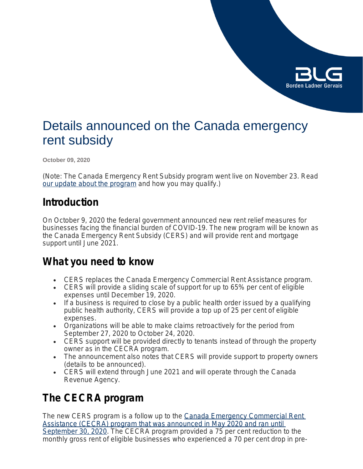

# Details announced on the Canada emergency rent subsidy

**October 09, 2020**

*(Note: The Canada Emergency Rent Subsidy program went live on November 23. Read [our update about the program](https://www.blg.com/en/insights/2020/11/new-canada-emergency-rent-subsidy-cers-program) and how you may qualify.)*

### **Introduction**

On October 9, 2020 the federal government announced new rent relief measures for businesses facing the financial burden of COVID-19. The new program will be known as the Canada Emergency Rent Subsidy (CERS) and will provide rent and mortgage support until June 2021.

## **What you need to know**

- CERS replaces the Canada Emergency Commercial Rent Assistance program.
- CERS will provide a sliding scale of support for up to 65% per cent of eligible expenses until December 19, 2020.
- If a business is required to close by a public health order issued by a qualifying public health authority, CERS will provide a top up of 25 per cent of eligible expenses.
- Organizations will be able to make claims retroactively for the period from September 27, 2020 to October 24, 2020.
- CERS support will be provided directly to tenants instead of through the property owner as in the CECRA program.
- The announcement also notes that CERS will provide support to property owners (details to be announced).
- CERS will extend through June 2021 and will operate through the Canada Revenue Agency.

# **The CECRA program**

The new CERS program is a follow up to the Canada Emergency Commercial Rent [Assistance \(CECRA\) program that was announced in May 2020 and ran until](https://www.blg.com/en/insights/2020/05/details-announced-on-the-canada-emergency-commercial-rent-assistance-program)  [September 30, 2020](https://www.blg.com/en/insights/2020/05/details-announced-on-the-canada-emergency-commercial-rent-assistance-program). The CECRA program provided a 75 per cent reduction to the monthly gross rent of eligible businesses who experienced a 70 per cent drop in pre-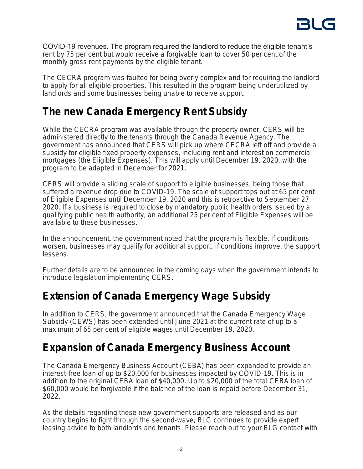

COVID-19 revenues. The program required the landlord to reduce the eligible tenant's rent by 75 per cent but would receive a forgivable loan to cover 50 per cent of the monthly gross rent payments by the eligible tenant.

The CECRA program was faulted for being overly complex and for requiring the landlord to apply for all eligible properties. This resulted in the program being underutilized by landlords and some businesses being unable to receive support.

## **The new Canada Emergency Rent Subsidy**

While the CECRA program was available through the property owner, CERS will be administered directly to the tenants through the Canada Revenue Agency. The government has announced that CERS will pick up where CECRA left off and provide a subsidy for eligible fixed property expenses, including rent and interest on commercial mortgages (the Eligible Expenses). This will apply until December 19, 2020, with the program to be adapted in December for 2021.

CERS will provide a sliding scale of support to eligible businesses, being those that suffered a revenue drop due to COVID-19. The scale of support tops out at 65 per cent of Eligible Expenses until December 19, 2020 and this is retroactive to September 27, 2020. If a business is required to close by mandatory public health orders issued by a qualifying public health authority, an additional 25 per cent of Eligible Expenses will be available to these businesses.

In the announcement, the government noted that the program is flexible. If conditions worsen, businesses may qualify for additional support. If conditions improve, the support lessens.

Further details are to be announced in the coming days when the government intends to introduce legislation implementing CERS.

## **Extension of Canada Emergency Wage Subsidy**

In addition to CERS, the government announced that the Canada Emergency Wage Subsidy (CEWS) has been extended until June 2021 at the current rate of up to a maximum of 65 per cent of eligible wages until December 19, 2020.

### **Expansion of Canada Emergency Business Account**

The Canada Emergency Business Account (CEBA) has been expanded to provide an interest-free loan of up to \$20,000 for businesses impacted by COVID-19. This is in addition to the original CEBA loan of \$40,000. Up to \$20,000 of the total CEBA loan of \$60,000 would be forgivable if the balance of the loan is repaid before December 31, 2022.

As the details regarding these new government supports are released and as our country begins to fight through the second-wave, BLG continues to provide expert leasing advice to both landlords and tenants. Please reach out to your BLG contact with